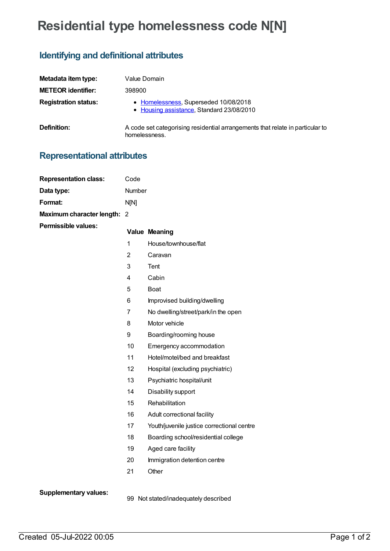## **Residential type homelessness code N[N]**

## **Identifying and definitional attributes**

| Metadata item type:         | Value Domain                                                                                   |
|-----------------------------|------------------------------------------------------------------------------------------------|
| <b>METEOR identifier:</b>   | 398900                                                                                         |
| <b>Registration status:</b> | • Homelessness, Superseded 10/08/2018<br>• Housing assistance, Standard 23/08/2010             |
| <b>Definition:</b>          | A code set categorising residential arrangements that relate in particular to<br>homelessness. |

## **Representational attributes**

| <b>Representation class:</b> | Code           |                                            |
|------------------------------|----------------|--------------------------------------------|
| Data type:                   | Number         |                                            |
| Format:                      | N[N]           |                                            |
| Maximum character length:    | -2             |                                            |
| <b>Permissible values:</b>   |                | <b>Value Meaning</b>                       |
|                              | $\overline{1}$ | House/townhouse/flat                       |
|                              | $\overline{2}$ | Caravan                                    |
|                              | 3              | Tent                                       |
|                              | 4              | Cabin                                      |
|                              | 5              | <b>Boat</b>                                |
|                              | 6              | Improvised building/dwelling               |
|                              | $\overline{7}$ | No dwelling/street/park/in the open        |
|                              | 8              | Motor vehicle                              |
|                              | 9              | Boarding/rooming house                     |
|                              | 10             | Emergency accommodation                    |
|                              | 11             | Hotel/motel/bed and breakfast              |
|                              | 12             | Hospital (excluding psychiatric)           |
|                              | 13             | Psychiatric hospital/unit                  |
|                              | 14             | Disability support                         |
|                              | 15             | Rehabilitation                             |
|                              | 16             | Adult correctional facility                |
|                              | 17             | Youth/juvenile justice correctional centre |
|                              | 18             | Boarding school/residential college        |
|                              | 19             | Aged care facility                         |
|                              | 20             | Immigration detention centre               |
|                              | 21             | Other                                      |
| <b>Supplementary values:</b> |                |                                            |

99 Not stated/inadequately described